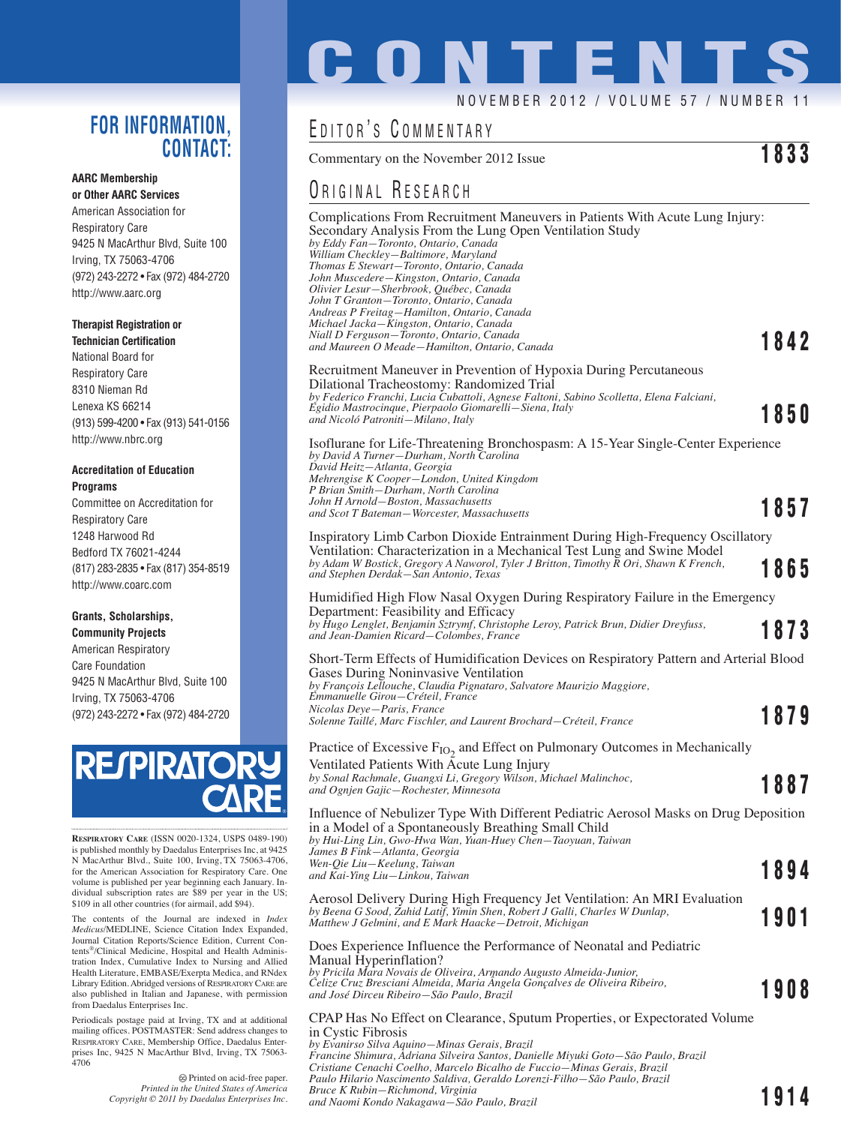## **FOR INFORMATION, CONTACT:**

#### **AARC Membership or Other AARC Services**

American Association for Respiratory Care 9425 N MacArthur Blvd, Suite 100 Irving, TX 75063-4706 (972) 243-2272 • Fax (972) 484-2720 http://www.aarc.org

#### **Therapist Registration or**

**Technician Certification** National Board for Respiratory Care 8310 Nieman Rd Lenexa KS 66214 (913) 599-4200 • Fax (913) 541-0156 http://www.nbrc.org

#### **Accreditation of Education Programs**

Committee on Accreditation for Respiratory Care 1248 Harwood Rd Bedford TX 76021-4244 (817) 283-2835 • Fax (817) 354-8519 http://www.coarc.com

## **Grants, Scholarships,**

**Community Projects** American Respiratory Care Foundation 9425 N MacArthur Blvd, Suite 100 Irving, TX 75063-4706 (972) 243-2272 • Fax (972) 484-2720



**RESPIRATORY CARE** (ISSN 0020-1324, USPS 0489-190) is published monthly by Daedalus Enterprises Inc, at 9425 N MacArthur Blvd., Suite 100, Irving, TX 75063-4706, for the American Association for Respiratory Care. One volume is published per year beginning each January. Individual subscription rates are \$89 per year in the US; \$109 in all other countries (for airmail, add \$94).

The contents of the Journal are indexed in *Index Medicus*/MEDLINE, Science Citation Index Expanded, Journal Citation Reports/Science Edition, Current Contents®/Clinical Medicine, Hospital and Health Administration Index, Cumulative Index to Nursing and Allied Health Literature, EMBASE/Exerpta Medica, and RNdex Library Edition. Abridged versions of RESPIRATORY CARE are also published in Italian and Japanese, with permission from Daedalus Enterprises Inc.

Periodicals postage paid at Irving, TX and at additional mailing offices. POSTMASTER: Send address changes to RESPIRATORY CARE, Membership Office, Daedalus Enterprises Inc, 9425 N MacArthur Blvd, Irving, TX 75063- 4706

> Printed on acid-free paper. *Printed in the United States of America Copyright © 2011 by Daedalus Enterprises Inc.*

# **CONTENT**

### NOVEMBER 2012 / VOLUME 57 / NUMBER

## EDITOR'S COMMENTARY

Commentary on the November 2012 Issue **1833**

## ORIGINAL RESEARCH

Complications From Recruitment Maneuvers in Patients With Acute Lung Injury: Secondary Analysis From the Lung Open Ventilation Study *by Eddy Fan—Toronto, Ontario, Canada William Checkley—Baltimore, Maryland Thomas E Stewart—Toronto, Ontario, Canada John Muscedere—Kingston, Ontario, Canada Olivier Lesur—Sherbrook, Québec, Canada John T Granton—Toronto, Ontario, Canada Andreas P Freitag—Hamilton, Ontario, Canada Michael Jacka—Kingston, Ontario, Canada Niall D Ferguson—Toronto, Ontario, Canada and Maureen O Meade—Hamilton, Ontario, Canada* **1842** Recruitment Maneuver in Prevention of Hypoxia During Percutaneous Dilational Tracheostomy: Randomized Trial *by Federico Franchi, Lucia Cubattoli, Agnese Faltoni, Sabino Scolletta, Elena Falciani, Egidio Mastrocinque, Pierpaolo Giomarelli—Siena, Italy and Nicoló Patroniti—Milano, Italy* **1850** Isoflurane for Life-Threatening Bronchospasm: A 15-Year Single-Center Experience *by David A Turner—Durham, North Carolina David Heitz—Atlanta, Georgia Mehrengise K Cooper—London, United Kingdom P Brian Smith—Durham, North Carolina John H Arnold—Boston, Massachusetts and Scot T Bateman—Worcester, Massachusetts* **1857** Inspiratory Limb Carbon Dioxide Entrainment During High-Frequency Oscillatory Ventilation: Characterization in a Mechanical Test Lung and Swine Model *by Adam W Bostick, Gregory A Naworol, Tyler J Britton, Timothy R Ori, Shawn K French, and Stephen Derdak—San Antonio, Texas* **1865** Humidified High Flow Nasal Oxygen During Respiratory Failure in the Emergency Department: Feasibility and Efficacy *by Hugo Lenglet, Benjamin Sztrymf, Christophe Leroy, Patrick Brun, Didier Dreyfuss, and Jean-Damien Ricard—Colombes, France* **1873** Short-Term Effects of Humidification Devices on Respiratory Pattern and Arterial Blood Gases During Noninvasive Ventilation *by François Lellouche, Claudia Pignataro, Salvatore Maurizio Maggiore, Emmanuelle Girou—Créteil, France Nicolas Deye—Paris, France Solenne Taillé, Marc Fischler, and Laurent Brochard—Créteil, France* **1879** Practice of Excessive F<sub>IO2</sub> and Effect on Pulmonary Outcomes in Mechanically Ventilated Patients With Acute Lung Injury *by Sonal Rachmale, Guangxi Li, Gregory Wilson, Michael Malinchoc, and Ognjen Gajic—Rochester, Minnesota* **1887** Influence of Nebulizer Type With Different Pediatric Aerosol Masks on Drug Deposition in a Model of a Spontaneously Breathing Small Child *by Hui-Ling Lin, Gwo-Hwa Wan, Yuan-Huey Chen—Taoyuan, Taiwan James B Fink—Atlanta, Georgia Wen-Qie Liu—Keelung, Taiwan and Kai-Ying Liu—Linkou, Taiwan* **1894** Aerosol Delivery During High Frequency Jet Ventilation: An MRI Evaluation *by Beena G Sood, Zahid Latif, Yimin Shen, Robert J Galli, Charles W Dunlap, Matthew J Gelmini, and E Mark Haacke—Detroit, Michigan* **1901** Does Experience Influence the Performance of Neonatal and Pediatric Manual Hyperinflation? *by Pricila Mara Novais de Oliveira, Armando Augusto Almeida-Junior, Celize Cruz Bresciani Almeida, Maria Ângela Gonçalves de Oliveira Ribeiro, and José Dirceu Ribeiro—São Paulo, Brazil* **1908**

#### CPAP Has No Effect on Clearance, Sputum Properties, or Expectorated Volume in Cystic Fibrosis

*by Evanirso Silva Aquino—Minas Gerais, Brazil Francine Shimura, Adriana Silveira Santos, Danielle Miyuki Goto—São Paulo, Brazil Cristiane Cenachi Coelho, Marcelo Bicalho de Fuccio—Minas Gerais, Brazil Paulo Hilario Nascimento Saldiva, Geraldo Lorenzi-Filho—São Paulo, Brazil Bruce K Rubin—Richmond, Virginia and Naomi Kondo Nakagawa—São Paulo, Brazil* **1914**